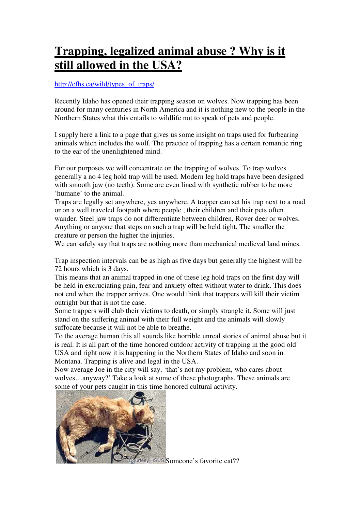# **Trapping, legalized animal abuse ? Why is it still allowed in the USA?**

### http://cfhs.ca/wild/types\_of\_traps/

Recently Idaho has opened their trapping season on wolves. Now trapping has been around for many centuries in North America and it is nothing new to the people in the Northern States what this entails to wildlife not to speak of pets and people.

I supply here a link to a page that gives us some insight on traps used for furbearing animals which includes the wolf. The practice of trapping has a certain romantic ring to the ear of the unenlightened mind.

For our purposes we will concentrate on the trapping of wolves. To trap wolves generally a no 4 leg hold trap will be used. Modern leg hold traps have been designed with smooth jaw (no teeth). Some are even lined with synthetic rubber to be more 'humane' to the animal.

Traps are legally set anywhere, yes anywhere. A trapper can set his trap next to a road or on a well traveled footpath where people , their children and their pets often wander. Steel jaw traps do not differentiate between children, Rover deer or wolves. Anything or anyone that steps on such a trap will be held tight. The smaller the creature or person the higher the injuries.

We can safely say that traps are nothing more than mechanical medieval land mines.

Trap inspection intervals can be as high as five days but generally the highest will be 72 hours which is 3 days.

This means that an animal trapped in one of these leg hold traps on the first day will be held in excruciating pain, fear and anxiety often without water to drink. This does not end when the trapper arrives. One would think that trappers will kill their victim outright but that is not the case.

Some trappers will club their victims to death, or simply strangle it. Some will just stand on the suffering animal with their full weight and the animals will slowly suffocate because it will not be able to breathe.

To the average human this all sounds like horrible unreal stories of animal abuse but it is real. It is all part of the time honored outdoor activity of trapping in the good old USA and right now it is happening in the Northern States of Idaho and soon in Montana. Trapping is alive and legal in the USA.

Now average Joe in the city will say, 'that's not my problem, who cares about wolves…anyway?' Take a look at some of these photographs. These animals are some of your pets caught in this time honored cultural activity.



sy HSUS Someone's favorite cat??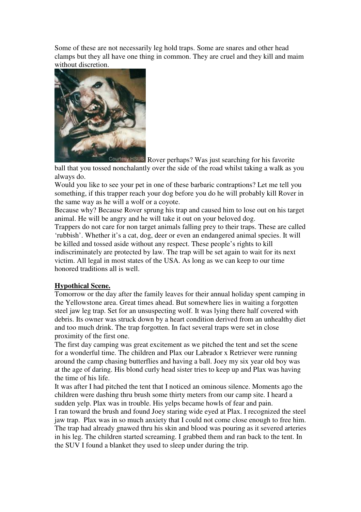Some of these are not necessarily leg hold traps. Some are snares and other head clamps but they all have one thing in common. They are cruel and they kill and maim without discretion.



Courtesy HSUS Rover perhaps? Was just searching for his favorite ball that you tossed nonchalantly over the side of the road whilst taking a walk as you always do.

Would you like to see your pet in one of these barbaric contraptions? Let me tell you something, if this trapper reach your dog before you do he will probably kill Rover in the same way as he will a wolf or a coyote.

Because why? Because Rover sprung his trap and caused him to lose out on his target animal. He will be angry and he will take it out on your beloved dog.

Trappers do not care for non target animals falling prey to their traps. These are called 'rubbish'. Whether it's a cat, dog, deer or even an endangered animal species. It will be killed and tossed aside without any respect. These people's rights to kill indiscriminately are protected by law. The trap will be set again to wait for its next victim. All legal in most states of the USA. As long as we can keep to our time honored traditions all is well.

# **Hypothical Scene.**

Tomorrow or the day after the family leaves for their annual holiday spent camping in the Yellowstone area. Great times ahead. But somewhere lies in waiting a forgotten steel jaw leg trap. Set for an unsuspecting wolf. It was lying there half covered with debris. Its owner was struck down by a heart condition derived from an unhealthy diet and too much drink. The trap forgotten. In fact several traps were set in close proximity of the first one.

The first day camping was great excitement as we pitched the tent and set the scene for a wonderful time. The children and Plax our Labrador x Retriever were running around the camp chasing butterflies and having a ball. Joey my six year old boy was at the age of daring. His blond curly head sister tries to keep up and Plax was having the time of his life.

It was after I had pitched the tent that I noticed an ominous silence. Moments ago the children were dashing thru brush some thirty meters from our camp site. I heard a sudden yelp. Plax was in trouble. His yelps became howls of fear and pain.

I ran toward the brush and found Joey staring wide eyed at Plax. I recognized the steel jaw trap. Plax was in so much anxiety that I could not come close enough to free him. The trap had already gnawed thru his skin and blood was pouring as it severed arteries in his leg. The children started screaming. I grabbed them and ran back to the tent. In the SUV I found a blanket they used to sleep under during the trip.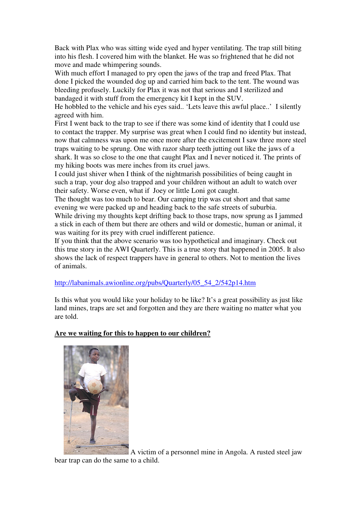Back with Plax who was sitting wide eyed and hyper ventilating. The trap still biting into his flesh. I covered him with the blanket. He was so frightened that he did not move and made whimpering sounds.

With much effort I managed to pry open the jaws of the trap and freed Plax. That done I picked the wounded dog up and carried him back to the tent. The wound was bleeding profusely. Luckily for Plax it was not that serious and I sterilized and bandaged it with stuff from the emergency kit I kept in the SUV.

He hobbled to the vehicle and his eyes said.. 'Lets leave this awful place..' I silently agreed with him.

First I went back to the trap to see if there was some kind of identity that I could use to contact the trapper. My surprise was great when I could find no identity but instead, now that calmness was upon me once more after the excitement I saw three more steel traps waiting to be sprung. One with razor sharp teeth jutting out like the jaws of a shark. It was so close to the one that caught Plax and I never noticed it. The prints of my hiking boots was mere inches from its cruel jaws.

I could just shiver when I think of the nightmarish possibilities of being caught in such a trap, your dog also trapped and your children without an adult to watch over their safety. Worse even, what if Joey or little Loni got caught.

The thought was too much to bear. Our camping trip was cut short and that same evening we were packed up and heading back to the safe streets of suburbia.

While driving my thoughts kept drifting back to those traps, now sprung as I jammed a stick in each of them but there are others and wild or domestic, human or animal, it was waiting for its prey with cruel indifferent patience.

If you think that the above scenario was too hypothetical and imaginary. Check out this true story in the AWI Quarterly. This is a true story that happened in 2005. It also shows the lack of respect trappers have in general to others. Not to mention the lives of animals.

http://labanimals.awionline.org/pubs/Quarterly/05\_54\_2/542p14.htm

Is this what you would like your holiday to be like? It's a great possibility as just like land mines, traps are set and forgotten and they are there waiting no matter what you are told.

#### **Are we waiting for this to happen to our children?**



 A victim of a personnel mine in Angola. A rusted steel jaw bear trap can do the same to a child.